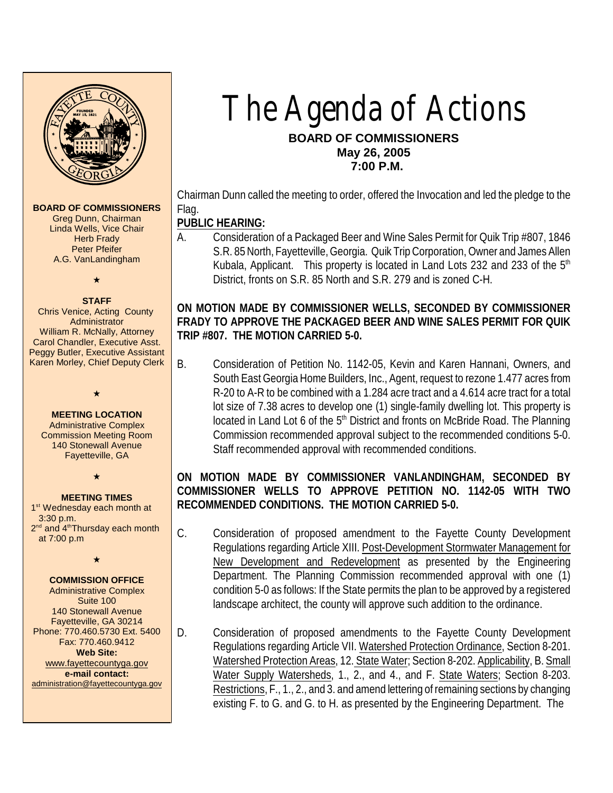

**MEETING LOCATION** Administrative Complex Commission Meeting Room 140 Stonewall Avenue Fayetteville, GA

 $\star$ 

# **MEETING TIMES**

1<sup>st</sup> Wednesday each month at 3:30 p.m. 2<sup>nd</sup> and 4<sup>th</sup>Thursday each month at 7:00 p.m

 $\star$ 

#### **COMMISSION OFFICE**

Administrative Complex Suite 100 140 Stonewall Avenue Fayetteville, GA 30214 Phone: 770.460.5730 Ext. 5400 Fax: 770.460.9412 **Web Site:** [www.fayettecountyga.gov](http://www.admin.co.fayette.ga.us) **e-mail contact:** [administration@fayettecountyga.gov](mailto:administration@fayettecountyga.gov)

# The Agenda of Actions **BOARD OF COMMISSIONERS May 26, 2005 7:00 P.M.**

Chairman Dunn called the meeting to order, offered the Invocation and led the pledge to the Flag.

**PUBLIC HEARING:** 

A. Consideration of a Packaged Beer and Wine Sales Permit for Quik Trip #807, 1846 S.R. 85 North, Fayetteville,Georgia. Quik Trip Corporation, Owner and James Allen Kubala, Applicant. This property is located in Land Lots 232 and 233 of the  $5<sup>th</sup>$ District, fronts on S.R. 85 North and S.R. 279 and is zoned C-H.

**ON MOTION MADE BY COMMISSIONER WELLS, SECONDED BY COMMISSIONER FRADY TO APPROVE THE PACKAGED BEER AND WINE SALES PERMIT FOR QUIK TRIP #807. THE MOTION CARRIED 5-0.**

B. Consideration of Petition No. 1142-05, Kevin and Karen Hannani, Owners, and South EastGeorgia Home Builders, Inc., Agent, request to rezone 1.477 acres from R-20 to A-R to be combined with a 1.284 acre tract and a 4.614 acre tract for a total lot size of 7.38 acres to develop one (1) single-family dwelling lot. This property is located in Land Lot 6 of the  $5<sup>th</sup>$  District and fronts on McBride Road. The Planning Commission recommended approval subject to the recommended conditions 5-0. Staff recommended approval with recommended conditions.

**ON MOTION MADE BY COMMISSIONER VANLANDINGHAM, SECONDED BY COMMISSIONER WELLS TO APPROVE PETITION NO. 1142-05 WITH TWO RECOMMENDED CONDITIONS. THE MOTION CARRIED 5-0.**

- C. Consideration of proposed amendment to the Fayette County Development Regulations regarding Article XIII. Post-Development Stormwater Management for New Development and Redevelopment as presented by the Engineering Department. The Planning Commission recommended approval with one (1) condition 5-0 as follows: If the State permits the plan to be approved by a registered landscape architect, the county will approve such addition to the ordinance.
- D. Consideration of proposed amendments to the Fayette County Development Regulations regarding Article VII. Watershed Protection Ordinance, Section 8-201. Watershed Protection Areas, 12. State Water; Section 8-202. Applicability, B. Small Water Supply Watersheds, 1., 2., and 4., and F. State Waters; Section 8-203. Restrictions, F., 1., 2., and 3. and amend lettering of remaining sections by changing existing F. to G. and G. to H. as presented by the Engineering Department. The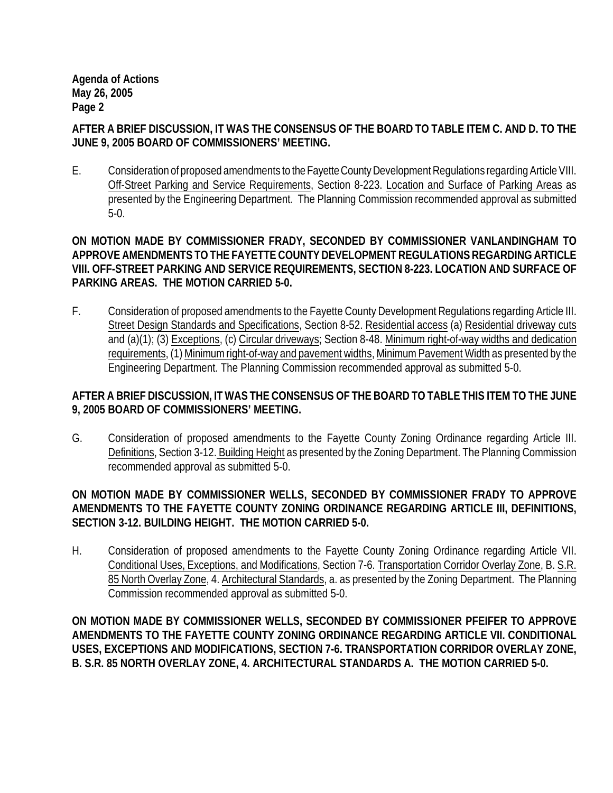**AFTER A BRIEF DISCUSSION, IT WAS THE CONSENSUS OF THE BOARD TO TABLE ITEM C. AND D. TO THE JUNE 9, 2005 BOARD OF COMMISSIONERS' MEETING.** 

E. Consideration of proposed amendments to the Fayette County Development Regulations regarding Article VIII. Off-Street Parking and Service Requirements, Section 8-223. Location and Surface of Parking Areas as presented by the Engineering Department. The Planning Commission recommended approval as submitted 5-0.

**ON MOTION MADE BY COMMISSIONER FRADY, SECONDED BY COMMISSIONER VANLANDINGHAM TO APPROVE AMENDMENTS TO THE FAYETTE COUNTY DEVELOPMENT REGULATIONS REGARDING ARTICLE VIII. OFF-STREET PARKING AND SERVICE REQUIREMENTS, SECTION 8-223. LOCATION AND SURFACE OF PARKING AREAS. THE MOTION CARRIED 5-0.**

F. Consideration of proposed amendments to the Fayette County Development Regulations regarding Article III. Street Design Standards and Specifications, Section 8-52. Residential access (a) Residential driveway cuts and (a)(1); (3) Exceptions, (c) Circular driveways; Section 8-48. Minimum right-of-way widths and dedication requirements, (1) Minimum right-of-way and pavement widths, Minimum Pavement Width as presented by the Engineering Department. The Planning Commission recommended approval as submitted 5-0.

**AFTER A BRIEF DISCUSSION, IT WAS THE CONSENSUS OF THE BOARD TO TABLE THIS ITEM TO THE JUNE 9, 2005 BOARD OF COMMISSIONERS' MEETING.** 

G. Consideration of proposed amendments to the Fayette County Zoning Ordinance regarding Article III. Definitions, Section 3-12. Building Height as presented by the Zoning Department. The Planning Commission recommended approval as submitted 5-0.

**ON MOTION MADE BY COMMISSIONER WELLS, SECONDED BY COMMISSIONER FRADY TO APPROVE AMENDMENTS TO THE FAYETTE COUNTY ZONING ORDINANCE REGARDING ARTICLE III, DEFINITIONS, SECTION 3-12. BUILDING HEIGHT. THE MOTION CARRIED 5-0.**

H. Consideration of proposed amendments to the Fayette County Zoning Ordinance regarding Article VII. Conditional Uses, Exceptions, and Modifications, Section 7-6. Transportation Corridor Overlay Zone, B. S.R. 85 North Overlay Zone, 4. Architectural Standards, a. as presented by the Zoning Department. The Planning Commission recommended approval as submitted 5-0.

**ON MOTION MADE BY COMMISSIONER WELLS, SECONDED BY COMMISSIONER PFEIFER TO APPROVE AMENDMENTS TO THE FAYETTE COUNTY ZONING ORDINANCE REGARDING ARTICLE VII. CONDITIONAL USES, EXCEPTIONS AND MODIFICATIONS, SECTION 7-6. TRANSPORTATION CORRIDOR OVERLAY ZONE, B. S.R. 85 NORTH OVERLAY ZONE, 4. ARCHITECTURAL STANDARDS A. THE MOTION CARRIED 5-0.**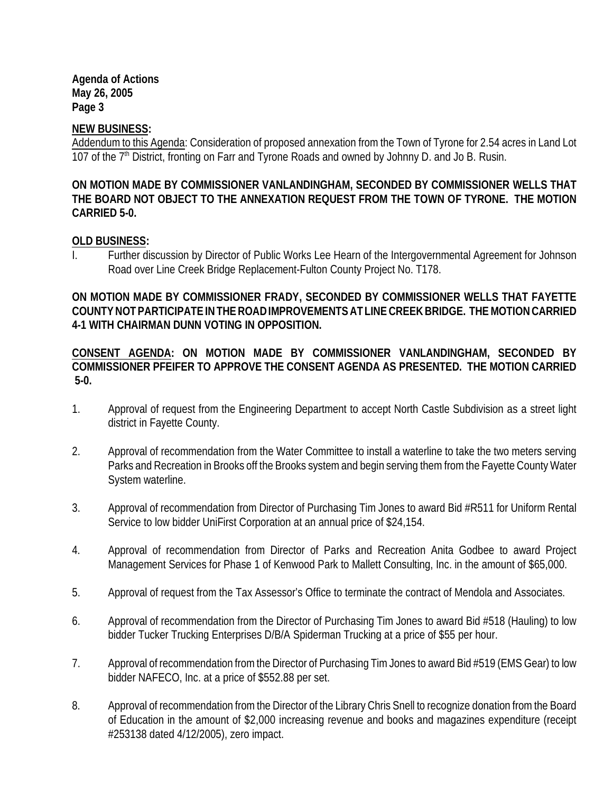**NEW BUSINESS:**

Addendum to this Agenda: Consideration of proposed annexation from the Town of Tyrone for 2.54 acres in Land Lot 107 of the 7<sup>th</sup> District, fronting on Farr and Tyrone Roads and owned by Johnny D. and Jo B. Rusin.

**ON MOTION MADE BY COMMISSIONER VANLANDINGHAM, SECONDED BY COMMISSIONER WELLS THAT THE BOARD NOT OBJECT TO THE ANNEXATION REQUEST FROM THE TOWN OF TYRONE. THE MOTION CARRIED 5-0.**

### **OLD BUSINESS:**

I. Further discussion by Director of Public Works Lee Hearn of the Intergovernmental Agreement for Johnson Road over Line Creek Bridge Replacement-Fulton County Project No. T178.

**ON MOTION MADE BY COMMISSIONER FRADY, SECONDED BY COMMISSIONER WELLS THAT FAYETTE COUNTY NOT PARTICIPATE INTHE ROADIMPROVEMENTS ATLINE CREEK BRIDGE. THE MOTION CARRIED 4-1 WITH CHAIRMAN DUNN VOTING IN OPPOSITION.** 

**CONSENT AGENDA: ON MOTION MADE BY COMMISSIONER VANLANDINGHAM, SECONDED BY COMMISSIONER PFEIFER TO APPROVE THE CONSENT AGENDA AS PRESENTED. THE MOTION CARRIED 5-0.**

- 1. Approval of request from the Engineering Department to accept North Castle Subdivision as a street light district in Fayette County.
- 2. Approval of recommendation from the Water Committee to install a waterline to take the two meters serving Parks and Recreation in Brooks off the Brooks system and begin serving them from the Fayette County Water System waterline.
- 3. Approval of recommendation from Director of Purchasing Tim Jones to award Bid #R511 for Uniform Rental Service to low bidder UniFirst Corporation at an annual price of \$24,154.
- 4. Approval of recommendation from Director of Parks and Recreation Anita Godbee to award Project Management Services for Phase 1 of Kenwood Park to Mallett Consulting, Inc. in the amount of \$65,000.
- 5. Approval of request from the Tax Assessor's Office to terminate the contract of Mendola and Associates.
- 6. Approval of recommendation from the Director of Purchasing Tim Jones to award Bid #518 (Hauling) to low bidder Tucker Trucking Enterprises D/B/A Spiderman Trucking at a price of \$55 per hour.
- 7. Approval of recommendation from the Director of Purchasing Tim Jones to award Bid #519 (EMS Gear) to low bidder NAFECO, Inc. at a price of \$552.88 per set.
- 8. Approval of recommendation from the Director of the Library Chris Snell to recognize donation from the Board of Education in the amount of \$2,000 increasing revenue and books and magazines expenditure (receipt #253138 dated 4/12/2005), zero impact.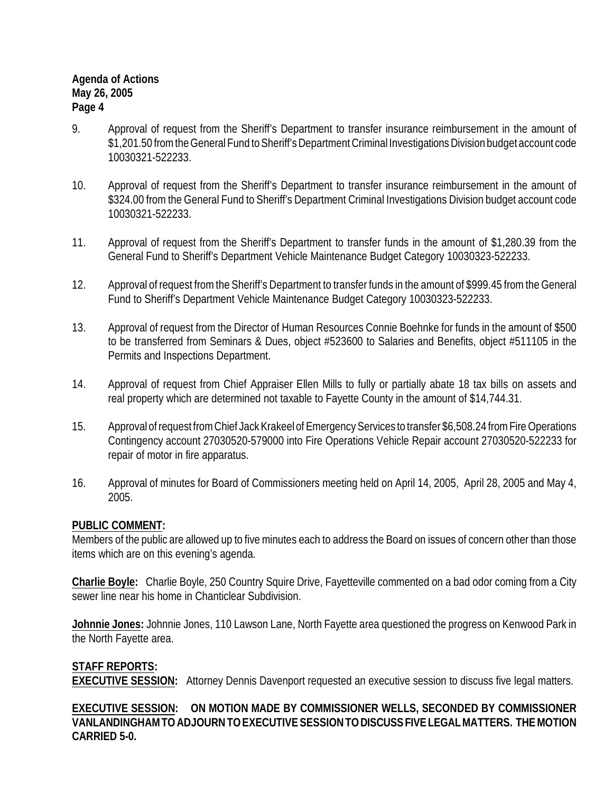- 9. Approval of request from the Sheriff's Department to transfer insurance reimbursement in the amount of \$1,201.50 from the General Fund to Sheriff's Department Criminal Investigations Division budget account code 10030321-522233.
- 10. Approval of request from the Sheriff's Department to transfer insurance reimbursement in the amount of \$324.00 from the General Fund to Sheriff's Department Criminal Investigations Division budget account code 10030321-522233.
- 11. Approval of request from the Sheriff's Department to transfer funds in the amount of \$1,280.39 from the General Fund to Sheriff's Department Vehicle Maintenance Budget Category 10030323-522233.
- 12. Approval of request from the Sheriff's Department to transfer funds in the amount of \$999.45 from the General Fund to Sheriff's Department Vehicle Maintenance Budget Category 10030323-522233.
- 13. Approval of request from the Director of Human Resources Connie Boehnke for funds in the amount of \$500 to be transferred from Seminars & Dues, object #523600 to Salaries and Benefits, object #511105 in the Permits and Inspections Department.
- 14. Approval of request from Chief Appraiser Ellen Mills to fully or partially abate 18 tax bills on assets and real property which are determined not taxable to Fayette County in the amount of \$14,744.31.
- 15. Approval of request fromChief Jack Krakeel of Emergency Services to transfer \$6,508.24 from Fire Operations Contingency account 27030520-579000 into Fire Operations Vehicle Repair account 27030520-522233 for repair of motor in fire apparatus.
- 16. Approval of minutes for Board of Commissioners meeting held on April 14, 2005, April 28, 2005 and May 4, 2005.

# **PUBLIC COMMENT:**

Members of the public are allowed up to five minutes each to address the Board on issues of concern other than those items which are on this evening's agenda.

**Charlie Boyle:** Charlie Boyle, 250 Country Squire Drive, Fayetteville commented on a bad odor coming from a City sewer line near his home in Chanticlear Subdivision.

**Johnnie Jones:** Johnnie Jones, 110 Lawson Lane, North Fayette area questioned the progress on Kenwood Park in the North Fayette area.

**STAFF REPORTS: EXECUTIVE SESSION:** Attorney Dennis Davenport requested an executive session to discuss five legal matters.

**EXECUTIVE SESSION: ON MOTION MADE BY COMMISSIONER WELLS, SECONDED BY COMMISSIONER VANLANDINGHAM TO ADJOURN TO EXECUTIVE SESSION TO DISCUSS FIVE LEGAL MATTERS. THE MOTION CARRIED 5-0.**